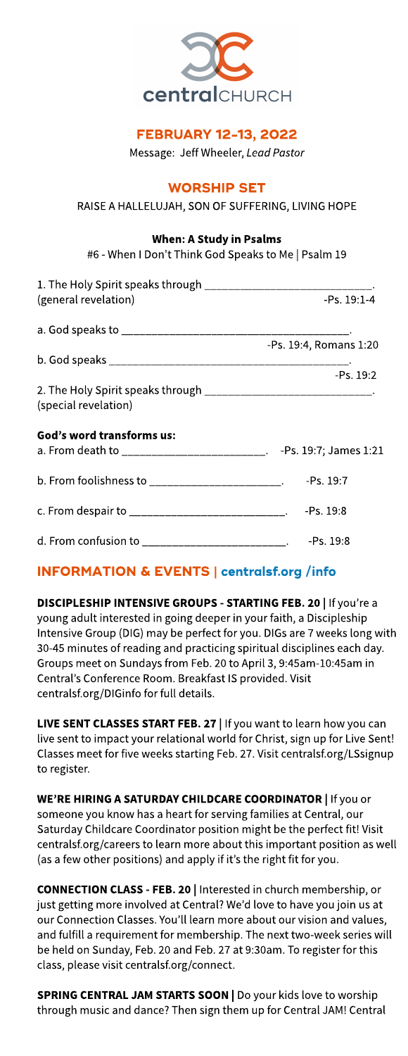

## **FEBRUARY 12-13, 2022**

Message: Jeff Wheeler, **LeadPastor**

## **WORSHIP SET**

#### RAISE A HALLELUJAH, SON OF SUFFERING, LIVING HOPE

#### When: A Study in Psalms

#6 - When I Don't Think God Speaksto Me | Psalm 19

| 1. The Holy Spirit speaks through ________________________________.                        |                        |
|--------------------------------------------------------------------------------------------|------------------------|
| (general revelation)                                                                       | $-PS. 19:1-4$          |
|                                                                                            |                        |
|                                                                                            | -Ps. 19:4, Romans 1:20 |
|                                                                                            |                        |
|                                                                                            | -Ps. 19:2              |
| 2. The Holy Spirit speaks through _______________________________.<br>(special revelation) |                        |
| God's word transforms us:                                                                  |                        |
| a. From death to __________________________. -Ps. 19:7; James 1:21                         |                        |
| b. From foolishness to ________________________. -Ps. 19:7                                 |                        |
| c. From despair to _____________________________. -Ps. 19:8                                |                        |
| d. From confusion to _________________________. -Ps. 19:8                                  |                        |

## INFORMATION& EVENTS| **[centralsf.org/info](http://centralsf.org/info)**

DISCIPLESHIP INTENSIVE GROUPS - STARTING FEB. 20 | If you're a young adult interested in going deeper in your faith, a Discipleship Intensive Group (DIG) may be perfect for you. DIGs are 7 weeks long with 30-45 minutes of reading and practicing spiritual disciplines each day. Groups meet on Sundays from Feb. 20 to April 3, 9:45am-10:45am in Central's Conference Room. Breakfast IS provided. Visit centralsf.org/DIGinfo for full details.

LIVE SENT CLASSES START FEB. 27 | If you want to learn how you can live sent to impact your relational world for Christ, sign up for Live Sent! Classes meet for five weeks starting Feb. 27. Visit centralsf.org/LSsignup to register.

WE'RE HIRING A SATURDAY CHILDCARE COORDINATOR | If you or someone you know has a heart for serving families at Central, our Saturday Childcare Coordinator position might be the perfect fit! Visit centralsf.org/careers to learn more about this important position as well (as a few other positions) and apply if it's the right fit for you.

CONNECTION CLASS- FEB. 20 | Interested in church membership, or just getting more involved at Central? We'd love to have you join us at our Connection Classes. You'll learn more about our vision and values, and fulfill a requirement for membership. The next two-week series will be held on Sunday, Feb. 20 and Feb. 27 at 9:30am. To register for this class, please visit centralsf.org/connect.

SPRING CENTRAL JAM STARTS SOON | Do your kids love to worship through music and dance? Then sign them up for Central JAM! Central